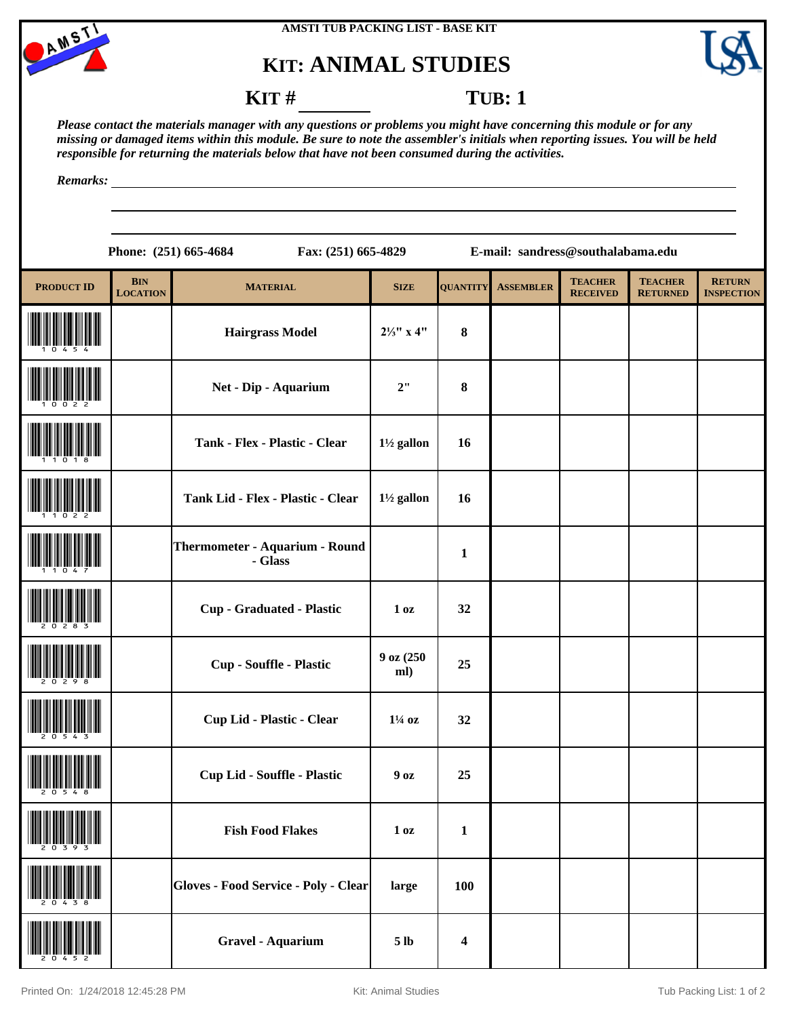



## **KIT: ANIMAL STUDIES**



### **KIT** # **TUB**: 1

*Please contact the materials manager with any questions or problems you might have concerning this module or for any missing or damaged items within this module. Be sure to note the assembler's initials when reporting issues. You will be held responsible for returning the materials below that have not been consumed during the activities.*

*Remarks:*

**Phone: (251) 665-4684 Fax: (251) 665-4829 E-mail: sandress@southalabama.edu**

| <b>PRODUCT ID</b> | <b>BIN</b><br><b>LOCATION</b> | <b>MATERIAL</b>                           | <b>SIZE</b>           | <b>QUANTITY</b>         | <b>ASSEMBLER</b> | <b>TEACHER</b><br><b>RECEIVED</b> | <b>TEACHER</b><br><b>RETURNED</b> | <b>RETURN</b><br><b>INSPECTION</b> |
|-------------------|-------------------------------|-------------------------------------------|-----------------------|-------------------------|------------------|-----------------------------------|-----------------------------------|------------------------------------|
|                   |                               | <b>Hairgrass Model</b>                    | $2\frac{1}{3}$ " x 4" | $\bf{8}$                |                  |                                   |                                   |                                    |
|                   |                               | Net - Dip - Aquarium                      | 2"                    | $\bf{8}$                |                  |                                   |                                   |                                    |
|                   |                               | Tank - Flex - Plastic - Clear             | $1\frac{1}{2}$ gallon | 16                      |                  |                                   |                                   |                                    |
|                   |                               | Tank Lid - Flex - Plastic - Clear         | $1\frac{1}{2}$ gallon | 16                      |                  |                                   |                                   |                                    |
|                   |                               | Thermometer - Aquarium - Round<br>- Glass |                       | $\mathbf{1}$            |                  |                                   |                                   |                                    |
|                   |                               | <b>Cup - Graduated - Plastic</b>          | 1 <sub>0</sub> z      | 32                      |                  |                                   |                                   |                                    |
|                   |                               | Cup - Souffle - Plastic                   | 9 oz (250<br>ml)      | 25                      |                  |                                   |                                   |                                    |
|                   |                               | Cup Lid - Plastic - Clear                 | $1\frac{1}{4}$ oz     | 32                      |                  |                                   |                                   |                                    |
|                   |                               | <b>Cup Lid - Souffle - Plastic</b>        | 90z                   | 25                      |                  |                                   |                                   |                                    |
| 20393             |                               | <b>Fish Food Flakes</b>                   | 1 <sub>oz</sub>       | $\mathbf{1}$            |                  |                                   |                                   |                                    |
|                   |                               | Gloves - Food Service - Poly - Clear      | large                 | 100                     |                  |                                   |                                   |                                    |
|                   |                               | <b>Gravel - Aquarium</b>                  | 5 <sub>lb</sub>       | $\overline{\mathbf{4}}$ |                  |                                   |                                   |                                    |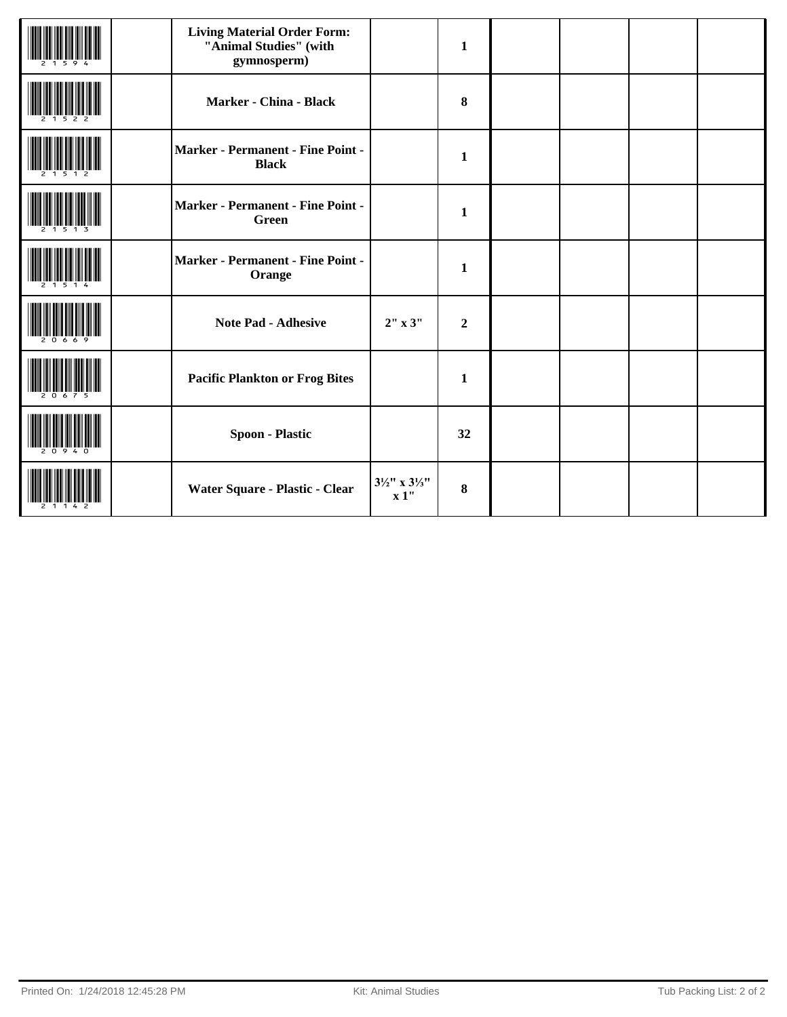| <b>Living Material Order Form:</b><br>"Animal Studies" (with<br>gymnosperm) |                                             | $\mathbf{1}$     |  |  |
|-----------------------------------------------------------------------------|---------------------------------------------|------------------|--|--|
| Marker - China - Black                                                      |                                             | 8                |  |  |
| Marker - Permanent - Fine Point -<br><b>Black</b>                           |                                             | $\mathbf{1}$     |  |  |
| <b>Marker - Permanent - Fine Point -</b><br><b>Green</b>                    |                                             | $\mathbf{1}$     |  |  |
| Marker - Permanent - Fine Point -<br>Orange                                 |                                             | $\mathbf{1}$     |  |  |
| <b>Note Pad - Adhesive</b>                                                  | 2" x 3"                                     | $\boldsymbol{2}$ |  |  |
| <b>Pacific Plankton or Frog Bites</b>                                       |                                             | $\mathbf{1}$     |  |  |
| <b>Spoon - Plastic</b>                                                      |                                             | 32               |  |  |
| Water Square - Plastic - Clear                                              | $3\frac{1}{2}$ " x $3\frac{1}{3}$ "<br>x 1" | 8                |  |  |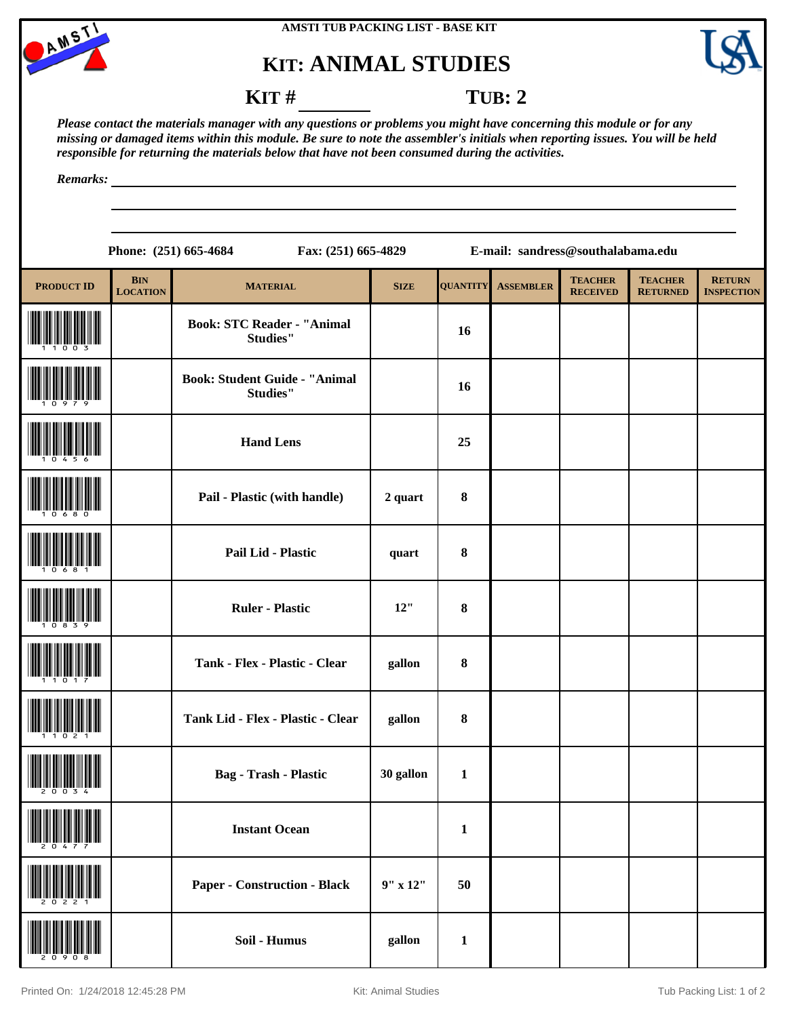

# **KIT: ANIMAL STUDIES**



#### **KIT** # **TUB: 2**

*Please contact the materials manager with any questions or problems you might have concerning this module or for any missing or damaged items within this module. Be sure to note the assembler's initials when reporting issues. You will be held responsible for returning the materials below that have not been consumed during the activities.*

*Remarks:*

|                   |                               | Phone: (251) 665-4684<br>Fax: (251) 665-4829            |                |                 | E-mail: sandress@southalabama.edu |                                   |                                   |                                    |
|-------------------|-------------------------------|---------------------------------------------------------|----------------|-----------------|-----------------------------------|-----------------------------------|-----------------------------------|------------------------------------|
| <b>PRODUCT ID</b> | <b>BIN</b><br><b>LOCATION</b> | <b>MATERIAL</b>                                         | <b>SIZE</b>    | <b>QUANTITY</b> | <b>ASSEMBLER</b>                  | <b>TEACHER</b><br><b>RECEIVED</b> | <b>TEACHER</b><br><b>RETURNED</b> | <b>RETURN</b><br><b>INSPECTION</b> |
|                   |                               | <b>Book: STC Reader - "Animal</b><br><b>Studies"</b>    |                | 16              |                                   |                                   |                                   |                                    |
|                   |                               | <b>Book: Student Guide - "Animal</b><br><b>Studies"</b> |                | 16              |                                   |                                   |                                   |                                    |
|                   |                               | <b>Hand Lens</b>                                        |                | 25              |                                   |                                   |                                   |                                    |
|                   |                               | Pail - Plastic (with handle)                            | 2 quart        | 8               |                                   |                                   |                                   |                                    |
|                   |                               | Pail Lid - Plastic                                      | quart          | 8               |                                   |                                   |                                   |                                    |
|                   |                               | <b>Ruler - Plastic</b>                                  | 12"            | 8               |                                   |                                   |                                   |                                    |
|                   |                               | Tank - Flex - Plastic - Clear                           | gallon         | 8               |                                   |                                   |                                   |                                    |
|                   |                               | Tank Lid - Flex - Plastic - Clear                       | gallon         | 8               |                                   |                                   |                                   |                                    |
|                   |                               | Bag - Trash - Plastic                                   | 30 gallon      | -1              |                                   |                                   |                                   |                                    |
|                   |                               | <b>Instant Ocean</b>                                    |                | $\mathbf{1}$    |                                   |                                   |                                   |                                    |
|                   |                               | <b>Paper - Construction - Black</b>                     | $9''$ x $12''$ | 50              |                                   |                                   |                                   |                                    |
|                   |                               | Soil - Humus                                            | gallon         | $\mathbf{1}$    |                                   |                                   |                                   |                                    |

 $\mathbf{I}$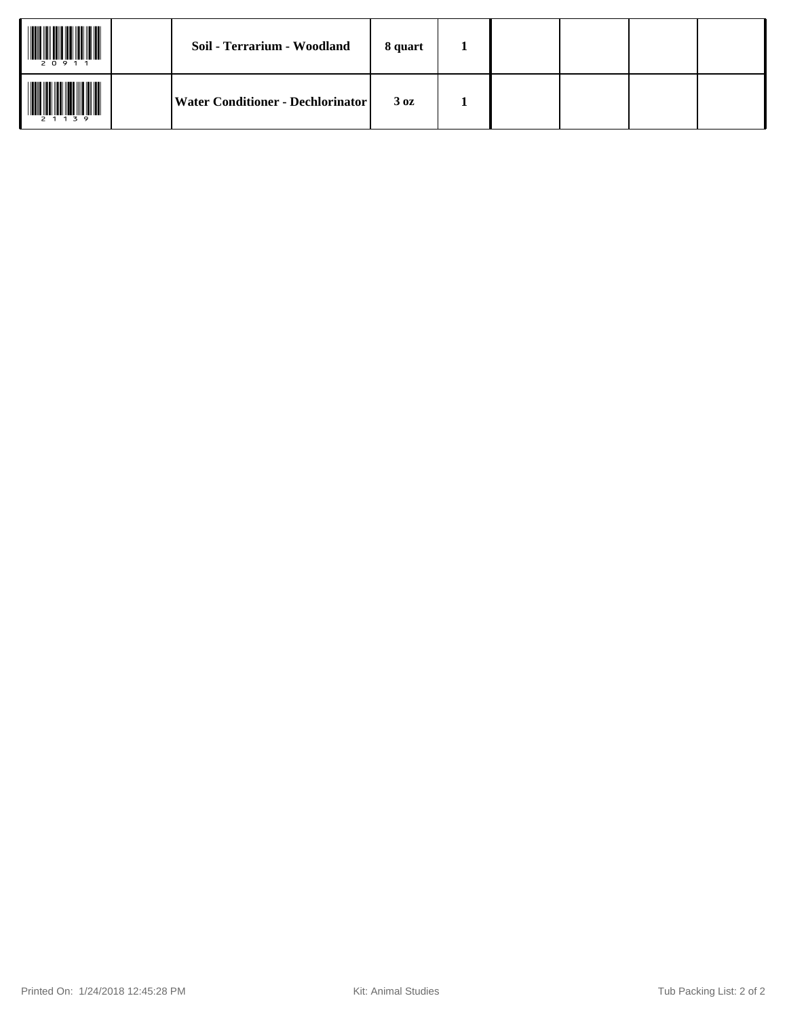| 20911     | Soil - Terrarium - Woodland       | 8 quart          |  |  |  |
|-----------|-----------------------------------|------------------|--|--|--|
| 2 1 1 3 9 | Water Conditioner - Dechlorinator | 3 <sub>0</sub> z |  |  |  |